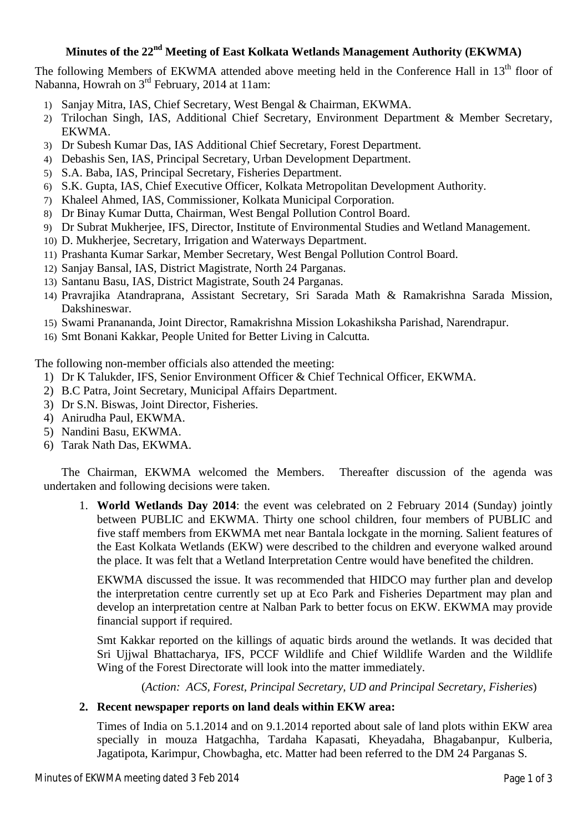# **Minutes of the 22 nd Meeting of East Kolkata Wetlands Management Authority (EKWMA)**

The following Members of EKWMA attended above meeting held in the Conference Hall in 13<sup>th</sup> floor of Nabanna, Howrah on 3<sup>rd</sup> February, 2014 at 11am:

- 1) Sanjay Mitra, IAS, Chief Secretary, West Bengal & Chairman, EKWMA.
- 2) Trilochan Singh, IAS, Additional Chief Secretary, Environment Department & Member Secretary, EKWMA.
- 3) Dr Subesh Kumar Das, IAS Additional Chief Secretary, Forest Department.
- 4) Debashis Sen, IAS, Principal Secretary, Urban Development Department.
- 5) S.A. Baba, IAS, Principal Secretary, Fisheries Department.
- 6) S.K. Gupta, IAS, Chief Executive Officer, Kolkata Metropolitan Development Authority.
- 7) Khaleel Ahmed, IAS, Commissioner, Kolkata Municipal Corporation.
- 8) Dr Binay Kumar Dutta, Chairman, West Bengal Pollution Control Board.
- 9) Dr Subrat Mukherjee, IFS, Director, Institute of Environmental Studies and Wetland Management.
- 10) D. Mukherjee, Secretary, Irrigation and Waterways Department.
- 11) Prashanta Kumar Sarkar, Member Secretary, West Bengal Pollution Control Board.
- 12) Sanjay Bansal, IAS, District Magistrate, North 24 Parganas.
- 13) Santanu Basu, IAS, District Magistrate, South 24 Parganas.
- 14) Pravrajika Atandraprana, Assistant Secretary, Sri Sarada Math & Ramakrishna Sarada Mission, Dakshineswar.
- 15) Swami Pranananda, Joint Director, Ramakrishna Mission Lokashiksha Parishad, Narendrapur.
- 16) Smt Bonani Kakkar, People United for Better Living in Calcutta.

The following non-member officials also attended the meeting:

- 1) Dr K Talukder, IFS, Senior Environment Officer & Chief Technical Officer, EKWMA.
- 2) B.C Patra, Joint Secretary, Municipal Affairs Department.
- 3) Dr S.N. Biswas, Joint Director, Fisheries.
- 4) Anirudha Paul, EKWMA.
- 5) Nandini Basu, EKWMA.
- 6) Tarak Nath Das, EKWMA.

The Chairman, EKWMA welcomed the Members. Thereafter discussion of the agenda was undertaken and following decisions were taken.

1. **World Wetlands Day 2014**: the event was celebrated on 2 February 2014 (Sunday) jointly between PUBLIC and EKWMA. Thirty one school children, four members of PUBLIC and five staff members from EKWMA met near Bantala lockgate in the morning. Salient features of the East Kolkata Wetlands (EKW) were described to the children and everyone walked around the place. It was felt that a Wetland Interpretation Centre would have benefited the children.

EKWMA discussed the issue. It was recommended that HIDCO may further plan and develop the interpretation centre currently set up at Eco Park and Fisheries Department may plan and develop an interpretation centre at Nalban Park to better focus on EKW. EKWMA may provide financial support if required.

Smt Kakkar reported on the killings of aquatic birds around the wetlands. It was decided that Sri Ujjwal Bhattacharya, IFS, PCCF Wildlife and Chief Wildlife Warden and the Wildlife Wing of the Forest Directorate will look into the matter immediately.

(*Action: ACS, Forest, Principal Secretary, UD and Principal Secretary, Fisheries*)

#### **2. Recent newspaper reports on land deals within EKW area:**

Times of India on 5.1.2014 and on 9.1.2014 reported about sale of land plots within EKW area specially in mouza Hatgachha, Tardaha Kapasati, Kheyadaha, Bhagabanpur, Kulberia, Jagatipota, Karimpur, Chowbagha, etc. Matter had been referred to the DM 24 Parganas S.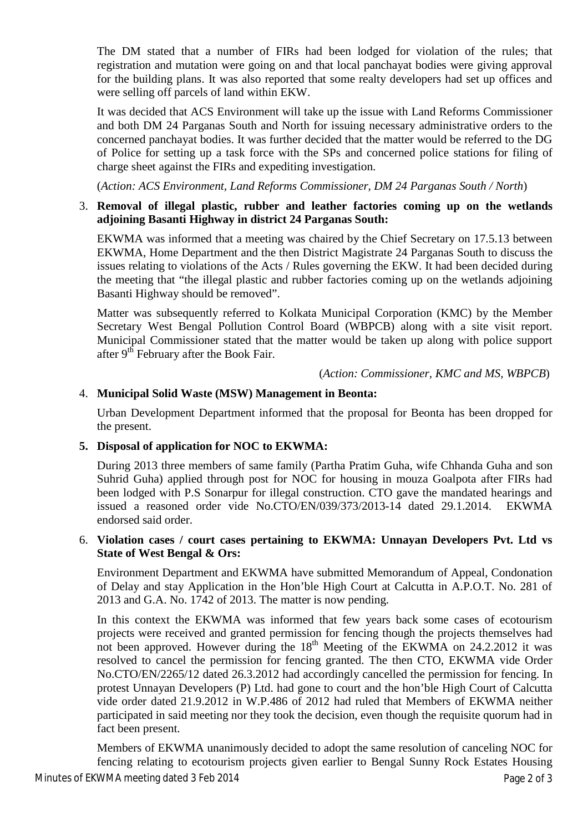The DM stated that a number of FIRs had been lodged for violation of the rules; that registration and mutation were going on and that local panchayat bodies were giving approval for the building plans. It was also reported that some realty developers had set up offices and were selling off parcels of land within EKW.

It was decided that ACS Environment will take up the issue with Land Reforms Commissioner and both DM 24 Parganas South and North for issuing necessary administrative orders to the concerned panchayat bodies. It was further decided that the matter would be referred to the DG of Police for setting up a task force with the SPs and concerned police stations for filing of charge sheet against the FIRs and expediting investigation.

(*Action: ACS Environment, Land Reforms Commissioner, DM 24 Parganas South / North*)

#### 3. **Removal of illegal plastic, rubber and leather factories coming up on the wetlands adjoining Basanti Highway in district 24 Parganas South:**

EKWMA was informed that a meeting was chaired by the Chief Secretary on 17.5.13 between EKWMA, Home Department and the then District Magistrate 24 Parganas South to discuss the issues relating to violations of the Acts / Rules governing the EKW. It had been decided during the meeting that "the illegal plastic and rubber factories coming up on the wetlands adjoining Basanti Highway should be removed".

Matter was subsequently referred to Kolkata Municipal Corporation (KMC) by the Member Secretary West Bengal Pollution Control Board (WBPCB) along with a site visit report. Municipal Commissioner stated that the matter would be taken up along with police support after 9<sup>th</sup> February after the Book Fair.

(*Action: Commissioner, KMC and MS, WBPCB*)

## 4. **Municipal Solid Waste (MSW) Management in Beonta:**

Urban Development Department informed that the proposal for Beonta has been dropped for the present.

## **5. Disposal of application for NOC to EKWMA:**

During 2013 three members of same family (Partha Pratim Guha, wife Chhanda Guha and son Suhrid Guha) applied through post for NOC for housing in mouza Goalpota after FIRs had been lodged with P.S Sonarpur for illegal construction. CTO gave the mandated hearings and issued a reasoned order vide No.CTO/EN/039/373/2013-14 dated 29.1.2014. EKWMA endorsed said order.

### 6. **Violation cases / court cases pertaining to EKWMA: Unnayan Developers Pvt. Ltd vs State of West Bengal & Ors:**

Environment Department and EKWMA have submitted Memorandum of Appeal, Condonation of Delay and stay Application in the Hon'ble High Court at Calcutta in A.P.O.T. No. 281 of 2013 and G.A. No. 1742 of 2013. The matter is now pending.

In this context the EKWMA was informed that few years back some cases of ecotourism projects were received and granted permission for fencing though the projects themselves had not been approved. However during the 18<sup>th</sup> Meeting of the EKWMA on 24.2.2012 it was resolved to cancel the permission for fencing granted. The then CTO, EKWMA vide Order No.CTO/EN/2265/12 dated 26.3.2012 had accordingly cancelled the permission for fencing. In protest Unnayan Developers (P) Ltd. had gone to court and the hon'ble High Court of Calcutta vide order dated 21.9.2012 in W.P.486 of 2012 had ruled that Members of EKWMA neither participated in said meeting nor they took the decision, even though the requisite quorum had in fact been present.

Members of EKWMA unanimously decided to adopt the same resolution of canceling NOC for fencing relating to ecotourism projects given earlier to Bengal Sunny Rock Estates Housing

Minutes of EKWMA meeting dated 3 Feb 2014 **Page 2 of 3** Page 2 of 3